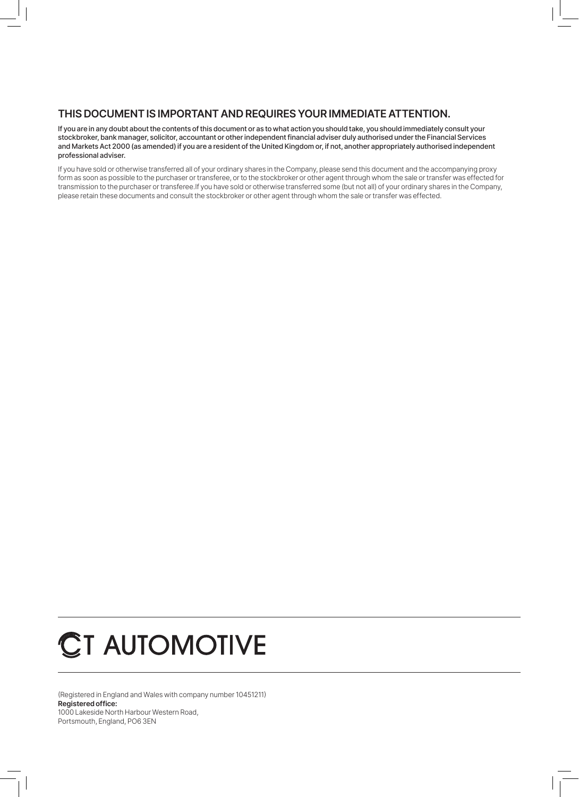# **THIS DOCUMENT IS IMPORTANT AND REQUIRES YOUR IMMEDIATE ATTENTION.**

If you are in any doubt about the contents of this document or as to what action you should take, you should immediately consult your stockbroker, bank manager, solicitor, accountant or other independent financial adviser duly authorised under the Financial Services and Markets Act 2000 (as amended) if you are a resident of the United Kingdom or, if not, another appropriately authorised independent professional adviser.

If you have sold or otherwise transferred all of your ordinary shares in the Company, please send this document and the accompanying proxy form as soon as possible to the purchaser or transferee, or to the stockbroker or other agent through whom the sale or transfer was effected for transmission to the purchaser or transferee.If you have sold or otherwise transferred some (but not all) of your ordinary shares in the Company, please retain these documents and consult the stockbroker or other agent through whom the sale or transfer was effected.

# **CT AUTOMOTIVE**

(Registered in England and Wales with company number 10451211) **Registered office:** 1000 Lakeside North Harbour Western Road, Portsmouth, England, PO6 3EN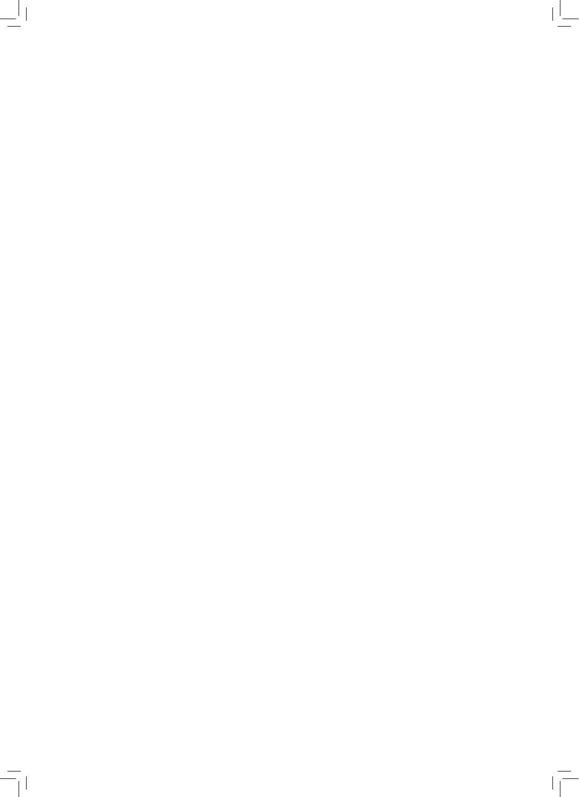$\equiv$  $\frac{1}{\sqrt{2}}$ 

 $\sqrt{\frac{1}{1-\frac{1}{1-\frac{1}{1-\frac{1}{1-\frac{1}{1-\frac{1}{1-\frac{1}{1-\frac{1}{1-\frac{1}{1-\frac{1}{1-\frac{1}{1-\frac{1}{1-\frac{1}{1-\frac{1}{1-\frac{1}{1-\frac{1}{1-\frac{1}{1-\frac{1}{1-\frac{1}{1-\frac{1}{1-\frac{1}{1-\frac{1}{1-\frac{1}{1-\frac{1}{1-\frac{1}{1-\frac{1}{1-\frac{1}{1-\frac{1}{1-\frac{1}{1-\frac{1}{1-\frac{1}{1-\frac{1}{1-\frac{1}{1-\frac{1}{1-\frac{1}{1-\frac{1}{1-\frac$ 

 $\frac{1}{\sqrt{1}}$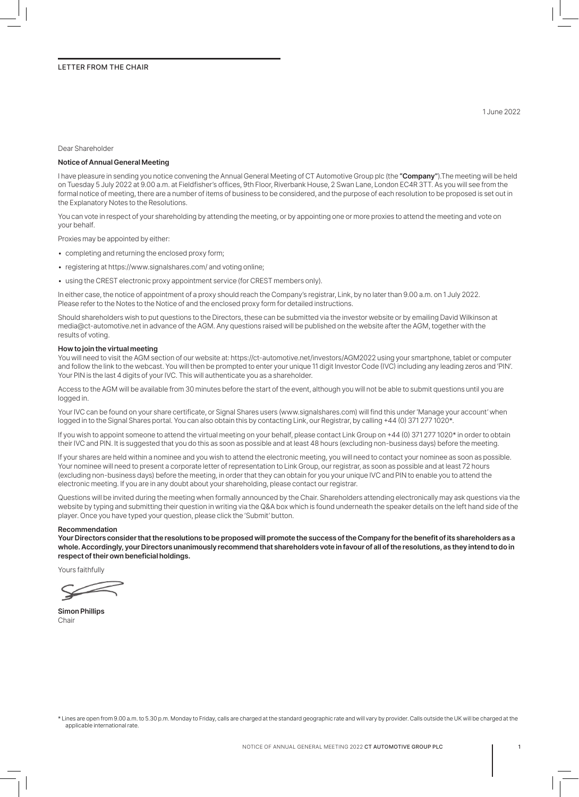# LETTER FROM THE CHAIR

1 June 2022

Dear Shareholder

#### **Notice of Annual General Meeting**

I have pleasure in sending you notice convening the Annual General Meeting of CT Automotive Group plc (the **"Company"**).The meeting will be held on Tuesday 5 July 2022 at 9.00 a.m. at Fieldfisher's offices, 9th Floor, Riverbank House, 2 Swan Lane, London EC4R 3TT. As you will see from the formal notice of meeting, there are a number of items of business to be considered, and the purpose of each resolution to be proposed is set out in the Explanatory Notes to the Resolutions.

You can vote in respect of your shareholding by attending the meeting, or by appointing one or more proxies to attend the meeting and vote on your behalf.

Proxies may be appointed by either:

- completing and returning the enclosed proxy form;
- registering at https://www.signalshares.com/ and voting online;
- using the CREST electronic proxy appointment service (for CREST members only).

In either case, the notice of appointment of a proxy should reach the Company's registrar, Link, by no later than 9.00 a.m. on 1 July 2022. Please refer to the Notes to the Notice of and the enclosed proxy form for detailed instructions.

Should shareholders wish to put questions to the Directors, these can be submitted via the investor website or by emailing David Wilkinson at media@ct-automotive.net in advance of the AGM. Any questions raised will be published on the website after the AGM, together with the results of voting.

## **How to join the virtual meeting**

You will need to visit the AGM section of our website at: https://ct-automotive.net/investors/AGM2022 using your smartphone, tablet or computer and follow the link to the webcast. You will then be prompted to enter your unique 11 digit Investor Code (IVC) including any leading zeros and 'PIN'. Your PIN is the last 4 digits of your IVC. This will authenticate you as a shareholder.

Access to the AGM will be available from 30 minutes before the start of the event, although you will not be able to submit questions until you are logged in.

Your IVC can be found on your share certificate, or Signal Shares users (www.signalshares.com) will find this under 'Manage your account' when logged in to the Signal Shares portal. You can also obtain this by contacting Link, our Registrar, by calling +44 (0) 371 277 1020\*.

If you wish to appoint someone to attend the virtual meeting on your behalf, please contact Link Group on +44 (0) 371 277 1020\* in order to obtain their IVC and PIN. It is suggested that you do this as soon as possible and at least 48 hours (excluding non-business days) before the meeting.

If your shares are held within a nominee and you wish to attend the electronic meeting, you will need to contact your nominee as soon as possible. Your nominee will need to present a corporate letter of representation to Link Group, our registrar, as soon as possible and at least 72 hours (excluding non-business days) before the meeting, in order that they can obtain for you your unique IVC and PIN to enable you to attend the electronic meeting. If you are in any doubt about your shareholding, please contact our registrar.

Questions will be invited during the meeting when formally announced by the Chair. Shareholders attending electronically may ask questions via the website by typing and submitting their question in writing via the Q&A box which is found underneath the speaker details on the left hand side of the player. Once you have typed your question, please click the 'Submit' button.

#### **Recommendation**

**Your Directors consider that the resolutions to be proposed will promote the success of the Company for the benefit of its shareholders as a whole. Accordingly, your Directors unanimously recommend that shareholders vote in favour of all of the resolutions, as they intend to do in respect of their own beneficial holdings.**

Yours faithfully

**Simon Phillips** Chair

\* Lines are open from 9.00 a.m. to 5.30 p.m. Monday to Friday, calls are charged at the standard geographic rate and will vary by provider. Calls outside the UK will be charged at the applicable international rate.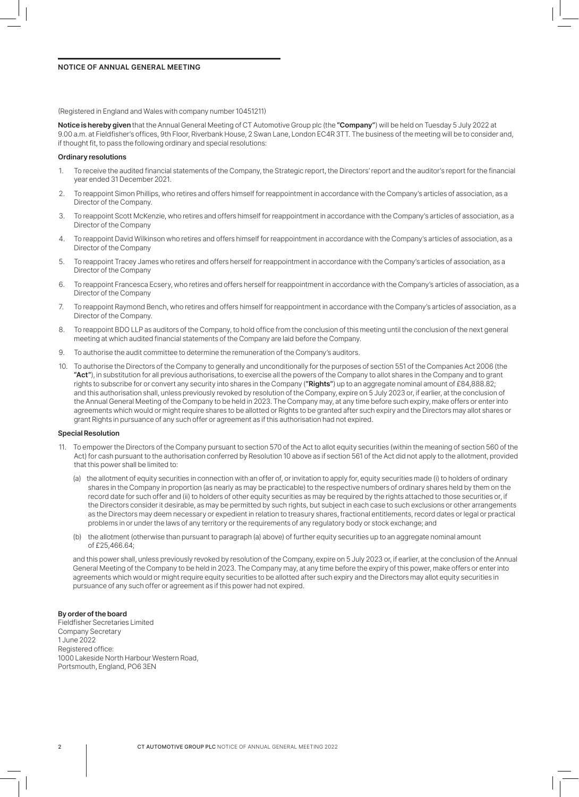# **NOTICE OF ANNUAL GENERAL MEETING**

(Registered in England and Wales with company number 10451211)

**Notice is hereby given** that the Annual General Meeting of CT Automotive Group plc (the **"Company"**) will be held on Tuesday 5 July 2022 at 9.00 a.m. at Fieldfisher's offices, 9th Floor, Riverbank House, 2 Swan Lane, London EC4R 3TT. The business of the meeting will be to consider and, if thought fit, to pass the following ordinary and special resolutions:

#### **Ordinary resolutions**

- 1. To receive the audited financial statements of the Company, the Strategic report, the Directors' report and the auditor's report for the financial year ended 31 December 2021.
- 2. To reappoint Simon Phillips, who retires and offers himself for reappointment in accordance with the Company's articles of association, as a Director of the Company.
- 3. To reappoint Scott McKenzie, who retires and offers himself for reappointment in accordance with the Company's articles of association, as a Director of the Company
- 4. To reappoint David Wilkinson who retires and offers himself for reappointment in accordance with the Company's articles of association, as a Director of the Company
- 5. To reappoint Tracey James who retires and offers herself for reappointment in accordance with the Company's articles of association, as a Director of the Company
- 6. To reappoint Francesca Ecsery, who retires and offers herself for reappointment in accordance with the Company's articles of association, as a Director of the Company
- 7. To reappoint Raymond Bench, who retires and offers himself for reappointment in accordance with the Company's articles of association, as a Director of the Company.
- 8. To reappoint BDO LLP as auditors of the Company, to hold office from the conclusion of this meeting until the conclusion of the next general meeting at which audited financial statements of the Company are laid before the Company.
- 9. To authorise the audit committee to determine the remuneration of the Company's auditors.
- 10. To authorise the Directors of the Company to generally and unconditionally for the purposes of section 551 of the Companies Act 2006 (the **"Act"**), in substitution for all previous authorisations, to exercise all the powers of the Company to allot shares in the Company and to grant rights to subscribe for or convert any security into shares in the Company (**"Rights"**) up to an aggregate nominal amount of £84,888.82; and this authorisation shall, unless previously revoked by resolution of the Company, expire on 5 July 2023 or, if earlier, at the conclusion of the Annual General Meeting of the Company to be held in 2023. The Company may, at any time before such expiry, make offers or enter into agreements which would or might require shares to be allotted or Rights to be granted after such expiry and the Directors may allot shares or grant Rights in pursuance of any such offer or agreement as if this authorisation had not expired.

#### **Special Resolution**

- 11. To empower the Directors of the Company pursuant to section 570 of the Act to allot equity securities (within the meaning of section 560 of the Act) for cash pursuant to the authorisation conferred by Resolution 10 above as if section 561 of the Act did not apply to the allotment, provided that this power shall be limited to:
	- (a) the allotment of equity securities in connection with an offer of, or invitation to apply for, equity securities made (i) to holders of ordinary shares in the Company in proportion (as nearly as may be practicable) to the respective numbers of ordinary shares held by them on the record date for such offer and (ii) to holders of other equity securities as may be required by the rights attached to those securities or, if the Directors consider it desirable, as may be permitted by such rights, but subject in each case to such exclusions or other arrangements as the Directors may deem necessary or expedient in relation to treasury shares, fractional entitlements, record dates or legal or practical problems in or under the laws of any territory or the requirements of any regulatory body or stock exchange; and
	- (b) the allotment (otherwise than pursuant to paragraph (a) above) of further equity securities up to an aggregate nominal amount of £25,466.64;

and this power shall, unless previously revoked by resolution of the Company, expire on 5 July 2023 or, if earlier, at the conclusion of the Annual General Meeting of the Company to be held in 2023. The Company may, at any time before the expiry of this power, make offers or enter into agreements which would or might require equity securities to be allotted after such expiry and the Directors may allot equity securities in pursuance of any such offer or agreement as if this power had not expired.

#### **By order of the board**

Fieldfisher Secretaries Limited Company Secretary 1 June 2022 Registered office: 1000 Lakeside North Harbour Western Road, Portsmouth, England, PO6 3EN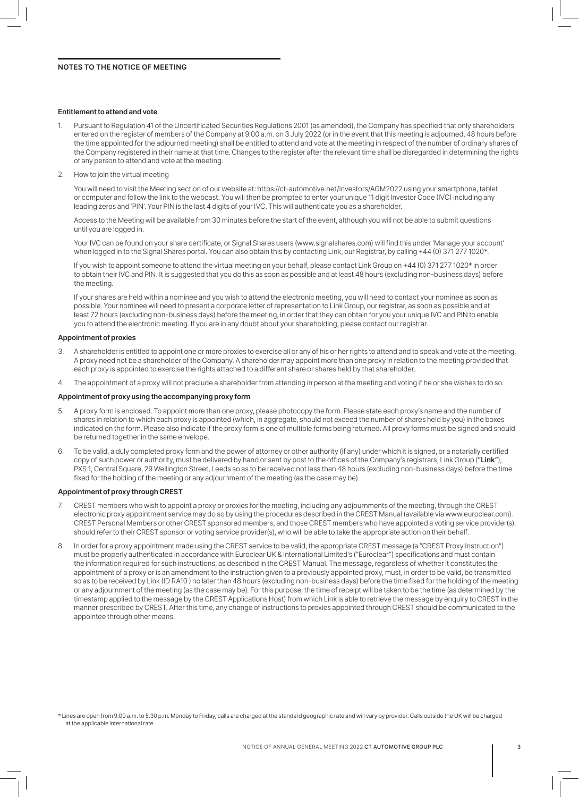# **NOTES TO THE NOTICE OF MEETING**

#### **Entitlement to attend and vote**

- 1. Pursuant to Regulation 41 of the Uncertificated Securities Regulations 2001 (as amended), the Company has specified that only shareholders entered on the register of members of the Company at 9.00 a.m. on 3 July 2022 (or in the event that this meeting is adjourned, 48 hours before the time appointed for the adjourned meeting) shall be entitled to attend and vote at the meeting in respect of the number of ordinary shares of the Company registered in their name at that time. Changes to the register after the relevant time shall be disregarded in determining the rights of any person to attend and vote at the meeting.
- 2. How to join the virtual meeting

You will need to visit the Meeting section of our website at: https://ct-automotive.net/investors/AGM2022 using your smartphone, tablet or computer and follow the link to the webcast. You will then be prompted to enter your unique 11 digit Investor Code (IVC) including any leading zeros and 'PIN'. Your PIN is the last 4 digits of your IVC. This will authenticate you as a shareholder.

Access to the Meeting will be available from 30 minutes before the start of the event, although you will not be able to submit questions until you are logged in.

Your IVC can be found on your share certificate, or Signal Shares users (www.signalshares.com) will find this under 'Manage your account' when logged in to the Signal Shares portal. You can also obtain this by contacting Link, our Registrar, by calling +44 (0) 371 277 1020\*.

If you wish to appoint someone to attend the virtual meeting on your behalf, please contact Link Group on +44 (0) 371 277 1020\* in order to obtain their IVC and PIN. It is suggested that you do this as soon as possible and at least 48 hours (excluding non-business days) before the meeting.

If your shares are held within a nominee and you wish to attend the electronic meeting, you will need to contact your nominee as soon as possible. Your nominee will need to present a corporate letter of representation to Link Group, our registrar, as soon as possible and at least 72 hours (excluding non-business days) before the meeting, in order that they can obtain for you your unique IVC and PIN to enable you to attend the electronic meeting. If you are in any doubt about your shareholding, please contact our registrar.

#### **Appointment of proxies**

- 3. A shareholder is entitled to appoint one or more proxies to exercise all or any of his or her rights to attend and to speak and vote at the meeting. A proxy need not be a shareholder of the Company. A shareholder may appoint more than one proxy in relation to the meeting provided that each proxy is appointed to exercise the rights attached to a different share or shares held by that shareholder.
- 4. The appointment of a proxy will not preclude a shareholder from attending in person at the meeting and voting if he or she wishes to do so.

#### **Appointment of proxy using the accompanying proxy form**

- 5. A proxy form is enclosed. To appoint more than one proxy, please photocopy the form. Please state each proxy's name and the number of shares in relation to which each proxy is appointed (which, in aggregate, should not exceed the number of shares held by you) in the boxes indicated on the form. Please also indicate if the proxy form is one of multiple forms being returned. All proxy forms must be signed and should be returned together in the same envelope.
- 6. To be valid, a duly completed proxy form and the power of attorney or other authority (if any) under which it is signed, or a notarially certified copy of such power or authority, must be delivered by hand or sent by post to the offices of the Company's registrars, Link Group (**"Link"**), PXS 1, Central Square, 29 Wellington Street, Leeds so as to be received not less than 48 hours (excluding non-business days) before the time fixed for the holding of the meeting or any adjournment of the meeting (as the case may be).

#### **Appointment of proxy through CREST**

- 7. CREST members who wish to appoint a proxy or proxies for the meeting, including any adjournments of the meeting, through the CREST electronic proxy appointment service may do so by using the procedures described in the CREST Manual (available via www.euroclear.com). CREST Personal Members or other CREST sponsored members, and those CREST members who have appointed a voting service provider(s), should refer to their CREST sponsor or voting service provider(s), who will be able to take the appropriate action on their behalf.
- 8. In order for a proxy appointment made using the CREST service to be valid, the appropriate CREST message (a "CREST Proxy Instruction") must be properly authenticated in accordance with Euroclear UK & International Limited's ("Euroclear") specifications and must contain the information required for such instructions, as described in the CREST Manual. The message, regardless of whether it constitutes the appointment of a proxy or is an amendment to the instruction given to a previously appointed proxy, must, in order to be valid, be transmitted so as to be received by Link (ID RA10 ) no later than 48 hours (excluding non-business days) before the time fixed for the holding of the meeting or any adjournment of the meeting (as the case may be). For this purpose, the time of receipt will be taken to be the time (as determined by the timestamp applied to the message by the CREST Applications Host) from which Link is able to retrieve the message by enquiry to CREST in the manner prescribed by CREST. After this time, any change of instructions to proxies appointed through CREST should be communicated to the appointee through other means.

\* Lines are open from 9.00 a.m. to 5.30 p.m. Monday to Friday, calls are charged at the standard geographic rate and will vary by provider. Calls outside the UK will be charged at the applicable international rate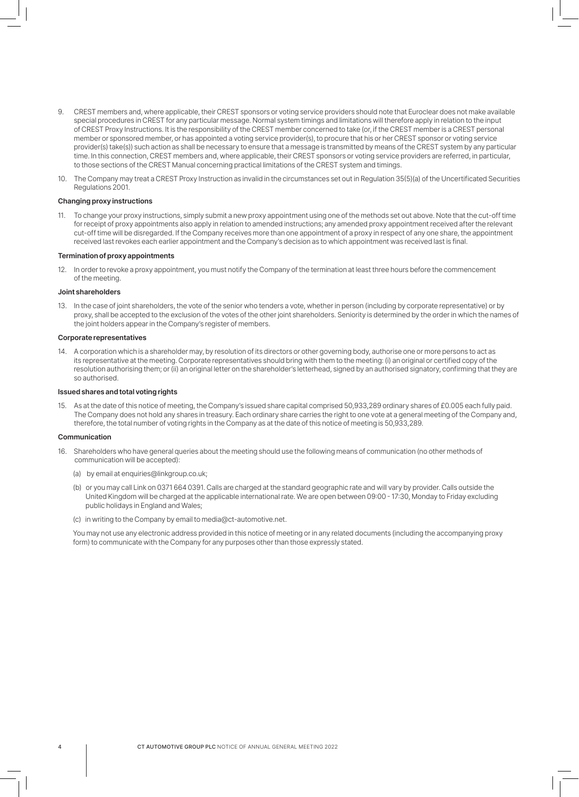- 9. CREST members and, where applicable, their CREST sponsors or voting service providers should note that Euroclear does not make available special procedures in CREST for any particular message. Normal system timings and limitations will therefore apply in relation to the input of CREST Proxy Instructions. It is the responsibility of the CREST member concerned to take (or, if the CREST member is a CREST personal member or sponsored member, or has appointed a voting service provider(s), to procure that his or her CREST sponsor or voting service provider(s) take(s)) such action as shall be necessary to ensure that a message is transmitted by means of the CREST system by any particular time. In this connection, CREST members and, where applicable, their CREST sponsors or voting service providers are referred, in particular, to those sections of the CREST Manual concerning practical limitations of the CREST system and timings.
- 10. The Company may treat a CREST Proxy Instruction as invalid in the circumstances set out in Regulation 35(5)(a) of the Uncertificated Securities Regulations 2001.

### **Changing proxy instructions**

11. To change your proxy instructions, simply submit a new proxy appointment using one of the methods set out above. Note that the cut-off time for receipt of proxy appointments also apply in relation to amended instructions; any amended proxy appointment received after the relevant cut-off time will be disregarded. If the Company receives more than one appointment of a proxy in respect of any one share, the appointment received last revokes each earlier appointment and the Company's decision as to which appointment was received last is final.

#### **Termination of proxy appointments**

12. In order to revoke a proxy appointment, you must notify the Company of the termination at least three hours before the commencement of the meeting.

#### **Joint shareholders**

13. In the case of joint shareholders, the vote of the senior who tenders a vote, whether in person (including by corporate representative) or by proxy, shall be accepted to the exclusion of the votes of the other joint shareholders. Seniority is determined by the order in which the names of the joint holders appear in the Company's register of members.

#### **Corporate representatives**

14. A corporation which is a shareholder may, by resolution of its directors or other governing body, authorise one or more persons to act as its representative at the meeting. Corporate representatives should bring with them to the meeting: (i) an original or certified copy of the resolution authorising them; or (ii) an original letter on the shareholder's letterhead, signed by an authorised signatory, confirming that they are so authorised.

### **Issued shares and total voting rights**

15. As at the date of this notice of meeting, the Company's issued share capital comprised 50,933,289 ordinary shares of £0.005 each fully paid. The Company does not hold any shares in treasury. Each ordinary share carries the right to one vote at a general meeting of the Company and, therefore, the total number of voting rights in the Company as at the date of this notice of meeting is 50,933,289.

#### **Communication**

- 16. Shareholders who have general queries about the meeting should use the following means of communication (no other methods of communication will be accepted):
	- (a) by email at enquiries@linkgroup.co.uk;
	- (b) or you may call Link on 0371 664 0391. Calls are charged at the standard geographic rate and will vary by provider. Calls outside the United Kingdom will be charged at the applicable international rate. We are open between 09:00 - 17:30, Monday to Friday excluding public holidays in England and Wales;
	- (c) in writing to the Company by email to media@ct-automotive.net.

You may not use any electronic address provided in this notice of meeting or in any related documents (including the accompanying proxy form) to communicate with the Company for any purposes other than those expressly stated.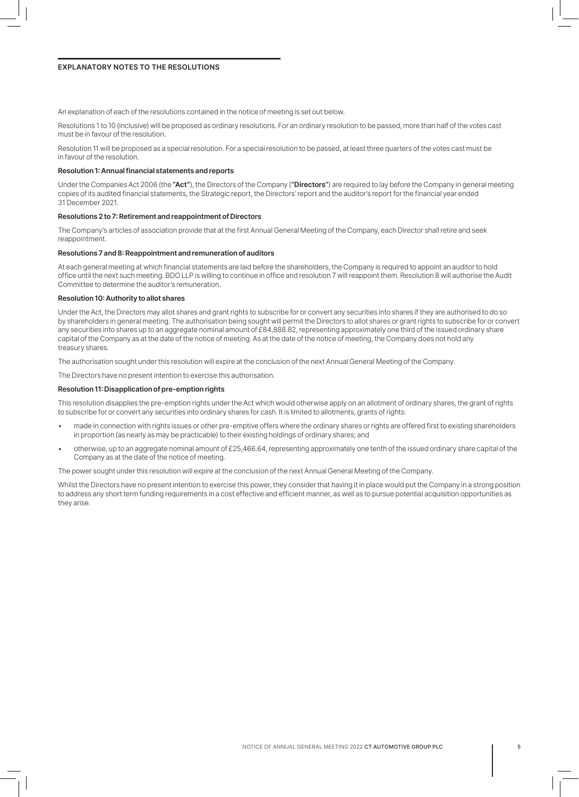# **EXPLANATORY NOTES TO THE RESOLUTIONS**

An explanation of each of the resolutions contained in the notice of meeting is set out below.

Resolutions 1 to 10 (inclusive) will be proposed as ordinary resolutions. For an ordinary resolution to be passed, more than half of the votes cast must be in favour of the resolution.

Resolution 11 will be proposed as a special resolution. For a special resolution to be passed, at least three quarters of the votes cast must be in favour of the resolution.

#### **Resolution 1: Annual financial statements and reports**

Under the Companies Act 2006 (the **"Act"**), the Directors of the Company (**"Directors"**) are required to lay before the Company in general meeting copies of its audited financial statements, the Strategic report, the Directors' report and the auditor's report for the financial year ended 31 December 2021.

#### **Resolutions 2 to 7: Retirement and reappointment of Directors**

The Company's articles of association provide that at the first Annual General Meeting of the Company, each Director shall retire and seek reappointment.

#### **Resolutions 7 and 8: Reappointment and remuneration of auditors**

At each general meeting at which financial statements are laid before the shareholders, the Company is required to appoint an auditor to hold office until the next such meeting. BDO LLP is willing to continue in office and resolution 7 will reappoint them. Resolution 8 will authorise the Audit Committee to determine the auditor's remuneration.

#### **Resolution 10: Authority to allot shares**

Under the Act, the Directors may allot shares and grant rights to subscribe for or convert any securities into shares if they are authorised to do so by shareholders in general meeting. The authorisation being sought will permit the Directors to allot shares or grant rights to subscribe for or convert any securities into shares up to an aggregate nominal amount of £84,888.82, representing approximately one third of the issued ordinary share capital of the Company as at the date of the notice of meeting. As at the date of the notice of meeting, the Company does not hold any treasury shares.

The authorisation sought under this resolution will expire at the conclusion of the next Annual General Meeting of the Company.

The Directors have no present intention to exercise this authorisation.

#### **Resolution 11: Disapplication of pre-emption rights**

This resolution disapplies the pre-emption rights under the Act which would otherwise apply on an allotment of ordinary shares, the grant of rights to subscribe for or convert any securities into ordinary shares for cash. It is limited to allotments, grants of rights:

- made in connection with rights issues or other pre-emptive offers where the ordinary shares or rights are offered first to existing shareholders in proportion (as nearly as may be practicable) to their existing holdings of ordinary shares; and
- otherwise, up to an aggregate nominal amount of £25,466.64, representing approximately one tenth of the issued ordinary share capital of the Company as at the date of the notice of meeting.

The power sought under this resolution will expire at the conclusion of the next Annual General Meeting of the Company.

Whilst the Directors have no present intention to exercise this power, they consider that having it in place would put the Company in a strong position to address any short term funding requirements in a cost effective and efficient manner, as well as to pursue potential acquisition opportunities as they arise.